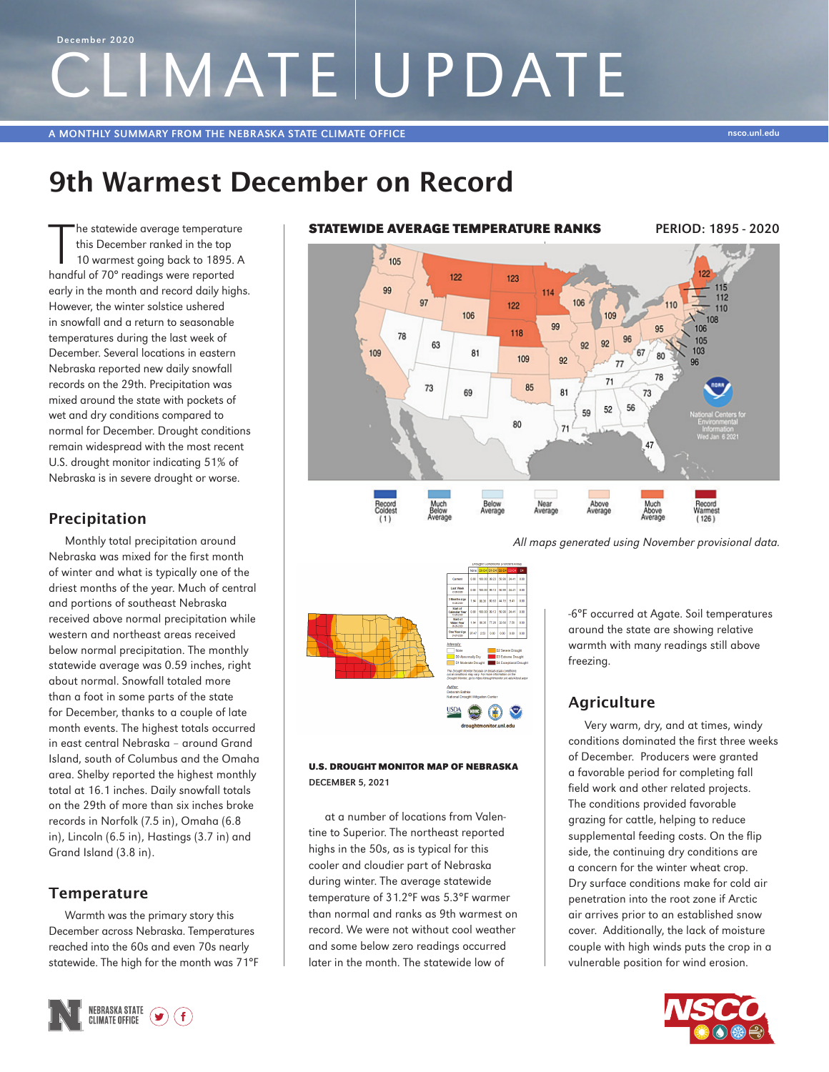# CLIMATE UPDATE December 2020

A MONTHLY SUMMARY FROM THE NEBRASKA STATE CLIMATE OFFICE NEWSLAPHONES AND THE UNIT OF THE UNIT OF THE UNIT OF T

# 9th Warmest December on Record

The statewide average temperature<br>this December ranked in the top<br>10 warmest going back to 1895.<br>handful of 70° readings were reported he statewide average temperature this December ranked in the top 10 warmest going back to 1895. A early in the month and record daily highs. However, the winter solstice ushered in snowfall and a return to seasonable temperatures during the last week of December. Several locations in eastern Nebraska reported new daily snowfall records on the 29th. Precipitation was mixed around the state with pockets of wet and dry conditions compared to normal for December. Drought conditions remain widespread with the most recent U.S. drought monitor indicating 51% of Nebraska is in severe drought or worse.

# Precipitation

Monthly total precipitation around Nebraska was mixed for the first month of winter and what is typically one of the driest months of the year. Much of central and portions of southeast Nebraska received above normal precipitation while western and northeast areas received below normal precipitation. The monthly statewide average was 0.59 inches, right about normal. Snowfall totaled more than a foot in some parts of the state for December, thanks to a couple of late month events. The highest totals occurred in east central Nebraska – around Grand Island, south of Columbus and the Omaha area. Shelby reported the highest monthly total at 16.1 inches. Daily snowfall totals on the 29th of more than six inches broke records in Norfolk (7.5 in), Omaha (6.8 in), Lincoln (6.5 in), Hastings (3.7 in) and Grand Island (3.8 in).

# **Temperature**

Warmth was the primary story this December across Nebraska. Temperatures reached into the 60s and even 70s nearly statewide. The high for the month was 71°F







### U.S. DROUGHT MONITOR MAP OF NEBRASKA DECEMBER 5, 2021

at a number of locations from Valentine to Superior. The northeast reported highs in the 50s, as is typical for this cooler and cloudier part of Nebraska during winter. The average statewide temperature of 31.2°F was 5.3°F warmer than normal and ranks as 9th warmest on record. We were not without cool weather and some below zero readings occurred later in the month. The statewide low of

-6°F occurred at Agate. Soil temperatures around the state are showing relative warmth with many readings still above freezing.

# **Agriculture**

Very warm, dry, and at times, windy conditions dominated the first three weeks of December. Producers were granted a favorable period for completing fall field work and other related projects. The conditions provided favorable grazing for cattle, helping to reduce supplemental feeding costs. On the flip side, the continuing dry conditions are a concern for the winter wheat crop. Dry surface conditions make for cold air penetration into the root zone if Arctic air arrives prior to an established snow cover. Additionally, the lack of moisture couple with high winds puts the crop in a vulnerable position for wind erosion.